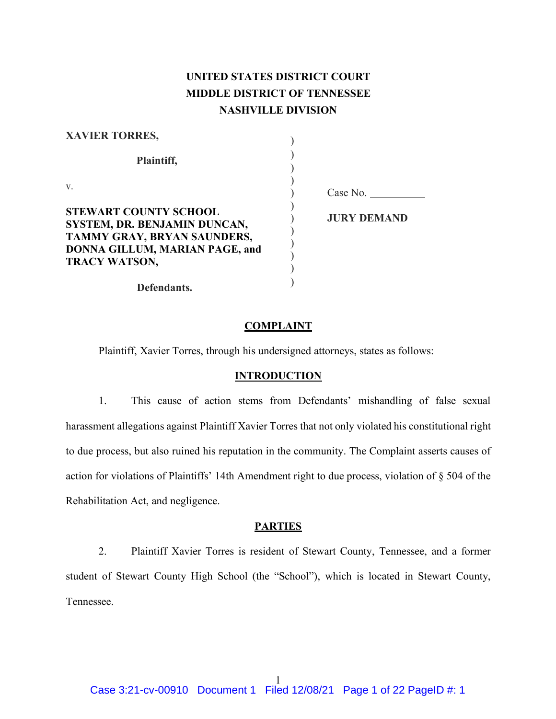## **UNITED STATES DISTRICT COURT MIDDLE DISTRICT OF TENNESSEE NASHVILLE DIVISION**

| <b>XAVIER TORRES,</b>                                                                                                                                 |                    |
|-------------------------------------------------------------------------------------------------------------------------------------------------------|--------------------|
| Plaintiff,                                                                                                                                            |                    |
| V.                                                                                                                                                    | Case No.           |
| <b>STEWART COUNTY SCHOOL</b><br>SYSTEM, DR. BENJAMIN DUNCAN,<br>TAMMY GRAY, BRYAN SAUNDERS,<br>DONNA GILLUM, MARIAN PAGE, and<br><b>TRACY WATSON,</b> | <b>JURY DEMAND</b> |
| Defendants.                                                                                                                                           |                    |

### **COMPLAINT**

Plaintiff, Xavier Torres, through his undersigned attorneys, states as follows:

### **INTRODUCTION**

1. This cause of action stems from Defendants' mishandling of false sexual harassment allegations against Plaintiff Xavier Torres that not only violated his constitutional right to due process, but also ruined his reputation in the community. The Complaint asserts causes of action for violations of Plaintiffs' 14th Amendment right to due process, violation of § 504 of the Rehabilitation Act, and negligence.

### **PARTIES**

2. Plaintiff Xavier Torres is resident of Stewart County, Tennessee, and a former student of Stewart County High School (the "School"), which is located in Stewart County, Tennessee.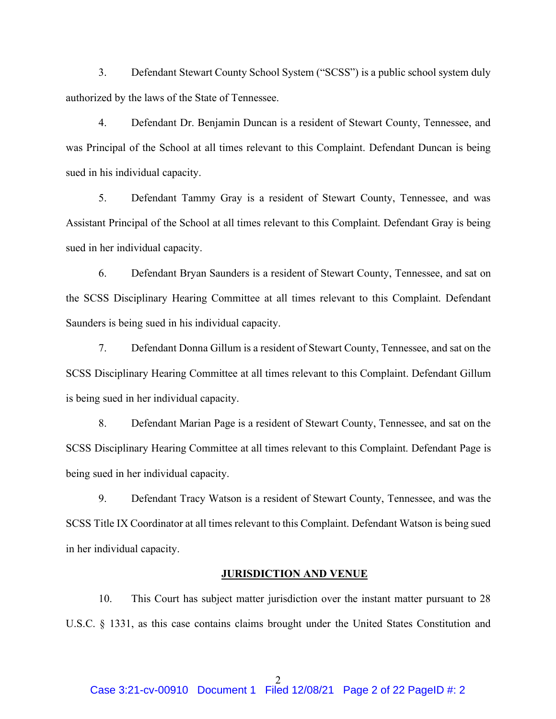3. Defendant Stewart County School System ("SCSS") is a public school system duly authorized by the laws of the State of Tennessee.

4. Defendant Dr. Benjamin Duncan is a resident of Stewart County, Tennessee, and was Principal of the School at all times relevant to this Complaint. Defendant Duncan is being sued in his individual capacity.

5. Defendant Tammy Gray is a resident of Stewart County, Tennessee, and was Assistant Principal of the School at all times relevant to this Complaint. Defendant Gray is being sued in her individual capacity.

6. Defendant Bryan Saunders is a resident of Stewart County, Tennessee, and sat on the SCSS Disciplinary Hearing Committee at all times relevant to this Complaint. Defendant Saunders is being sued in his individual capacity.

7. Defendant Donna Gillum is a resident of Stewart County, Tennessee, and sat on the SCSS Disciplinary Hearing Committee at all times relevant to this Complaint. Defendant Gillum is being sued in her individual capacity.

8. Defendant Marian Page is a resident of Stewart County, Tennessee, and sat on the SCSS Disciplinary Hearing Committee at all times relevant to this Complaint. Defendant Page is being sued in her individual capacity.

9. Defendant Tracy Watson is a resident of Stewart County, Tennessee, and was the SCSS Title IX Coordinator at all times relevant to this Complaint. Defendant Watson is being sued in her individual capacity.

### **JURISDICTION AND VENUE**

10. This Court has subject matter jurisdiction over the instant matter pursuant to 28 U.S.C. § 1331, as this case contains claims brought under the United States Constitution and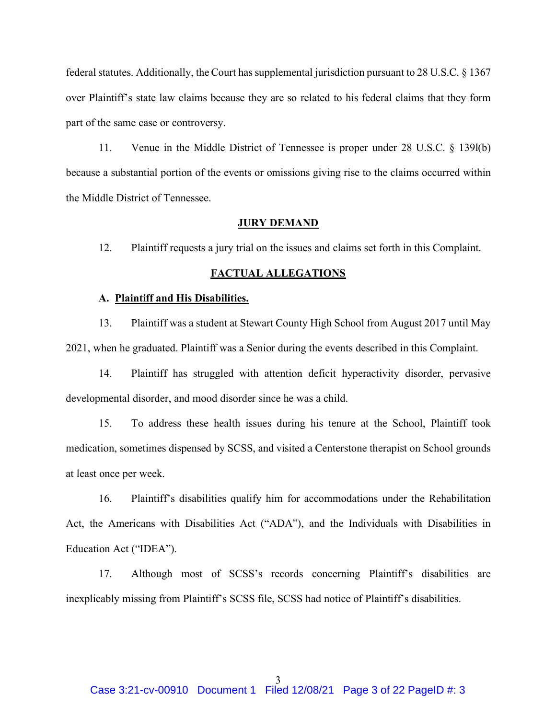federal statutes. Additionally, the Court has supplemental jurisdiction pursuant to 28 U.S.C. § 1367 over Plaintiff's state law claims because they are so related to his federal claims that they form part of the same case or controversy.

11. Venue in the Middle District of Tennessee is proper under 28 U.S.C. § 139l(b) because a substantial portion of the events or omissions giving rise to the claims occurred within the Middle District of Tennessee.

#### **JURY DEMAND**

12. Plaintiff requests a jury trial on the issues and claims set forth in this Complaint.

### **FACTUAL ALLEGATIONS**

#### **A. Plaintiff and His Disabilities.**

13. Plaintiff was a student at Stewart County High School from August 2017 until May 2021, when he graduated. Plaintiff was a Senior during the events described in this Complaint.

14. Plaintiff has struggled with attention deficit hyperactivity disorder, pervasive developmental disorder, and mood disorder since he was a child.

15. To address these health issues during his tenure at the School, Plaintiff took medication, sometimes dispensed by SCSS, and visited a Centerstone therapist on School grounds at least once per week.

16. Plaintiff's disabilities qualify him for accommodations under the Rehabilitation Act, the Americans with Disabilities Act ("ADA"), and the Individuals with Disabilities in Education Act ("IDEA").

17. Although most of SCSS's records concerning Plaintiff's disabilities are inexplicably missing from Plaintiff's SCSS file, SCSS had notice of Plaintiff's disabilities.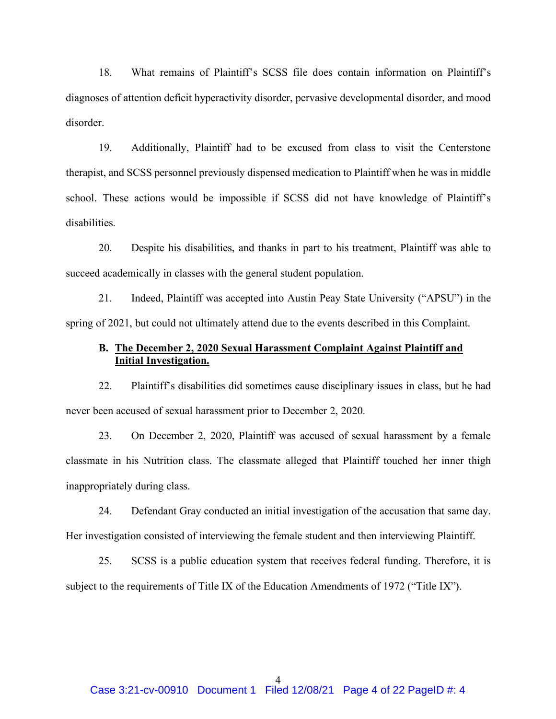18. What remains of Plaintiff's SCSS file does contain information on Plaintiff's diagnoses of attention deficit hyperactivity disorder, pervasive developmental disorder, and mood disorder.

19. Additionally, Plaintiff had to be excused from class to visit the Centerstone therapist, and SCSS personnel previously dispensed medication to Plaintiff when he was in middle school. These actions would be impossible if SCSS did not have knowledge of Plaintiff's disabilities.

20. Despite his disabilities, and thanks in part to his treatment, Plaintiff was able to succeed academically in classes with the general student population.

21. Indeed, Plaintiff was accepted into Austin Peay State University ("APSU") in the spring of 2021, but could not ultimately attend due to the events described in this Complaint.

### **B. The December 2, 2020 Sexual Harassment Complaint Against Plaintiff and Initial Investigation.**

22. Plaintiff's disabilities did sometimes cause disciplinary issues in class, but he had never been accused of sexual harassment prior to December 2, 2020.

23. On December 2, 2020, Plaintiff was accused of sexual harassment by a female classmate in his Nutrition class. The classmate alleged that Plaintiff touched her inner thigh inappropriately during class.

24. Defendant Gray conducted an initial investigation of the accusation that same day. Her investigation consisted of interviewing the female student and then interviewing Plaintiff.

25. SCSS is a public education system that receives federal funding. Therefore, it is subject to the requirements of Title IX of the Education Amendments of 1972 ("Title IX").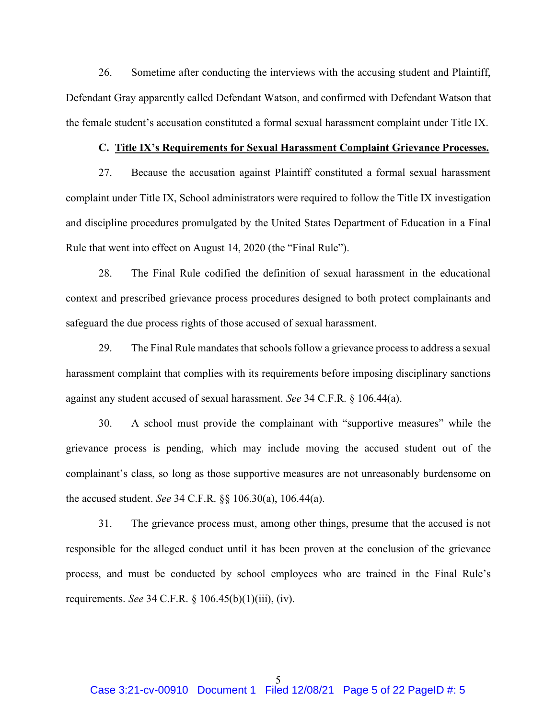26. Sometime after conducting the interviews with the accusing student and Plaintiff, Defendant Gray apparently called Defendant Watson, and confirmed with Defendant Watson that the female student's accusation constituted a formal sexual harassment complaint under Title IX.

### **C. Title IX's Requirements for Sexual Harassment Complaint Grievance Processes.**

27. Because the accusation against Plaintiff constituted a formal sexual harassment complaint under Title IX, School administrators were required to follow the Title IX investigation and discipline procedures promulgated by the United States Department of Education in a Final Rule that went into effect on August 14, 2020 (the "Final Rule").

28. The Final Rule codified the definition of sexual harassment in the educational context and prescribed grievance process procedures designed to both protect complainants and safeguard the due process rights of those accused of sexual harassment.

29. The Final Rule mandates that schools follow a grievance process to address a sexual harassment complaint that complies with its requirements before imposing disciplinary sanctions against any student accused of sexual harassment. *See* 34 C.F.R. § 106.44(a).

30. A school must provide the complainant with "supportive measures" while the grievance process is pending, which may include moving the accused student out of the complainant's class, so long as those supportive measures are not unreasonably burdensome on the accused student. *See* 34 C.F.R. §§ 106.30(a), 106.44(a).

31. The grievance process must, among other things, presume that the accused is not responsible for the alleged conduct until it has been proven at the conclusion of the grievance process, and must be conducted by school employees who are trained in the Final Rule's requirements. *See* 34 C.F.R. § 106.45(b)(1)(iii), (iv).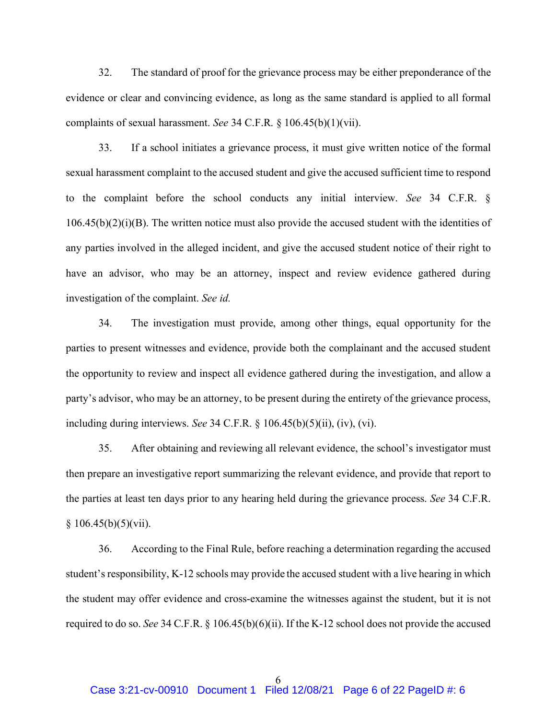32. The standard of proof for the grievance process may be either preponderance of the evidence or clear and convincing evidence, as long as the same standard is applied to all formal complaints of sexual harassment. *See* 34 C.F.R. § 106.45(b)(1)(vii).

33. If a school initiates a grievance process, it must give written notice of the formal sexual harassment complaint to the accused student and give the accused sufficient time to respond to the complaint before the school conducts any initial interview. *See* 34 C.F.R. §  $106.45(b)(2)(i)(B)$ . The written notice must also provide the accused student with the identities of any parties involved in the alleged incident, and give the accused student notice of their right to have an advisor, who may be an attorney, inspect and review evidence gathered during investigation of the complaint. *See id.*

34. The investigation must provide, among other things, equal opportunity for the parties to present witnesses and evidence, provide both the complainant and the accused student the opportunity to review and inspect all evidence gathered during the investigation, and allow a party's advisor, who may be an attorney, to be present during the entirety of the grievance process, including during interviews. *See* 34 C.F.R. § 106.45(b)(5)(ii), (iv), (vi).

35. After obtaining and reviewing all relevant evidence, the school's investigator must then prepare an investigative report summarizing the relevant evidence, and provide that report to the parties at least ten days prior to any hearing held during the grievance process. *See* 34 C.F.R.  $§ 106.45(b)(5)(vii).$ 

36. According to the Final Rule, before reaching a determination regarding the accused student's responsibility, K-12 schools may provide the accused student with a live hearing in which the student may offer evidence and cross-examine the witnesses against the student, but it is not required to do so. *See* 34 C.F.R. § 106.45(b)(6)(ii). If the K-12 school does not provide the accused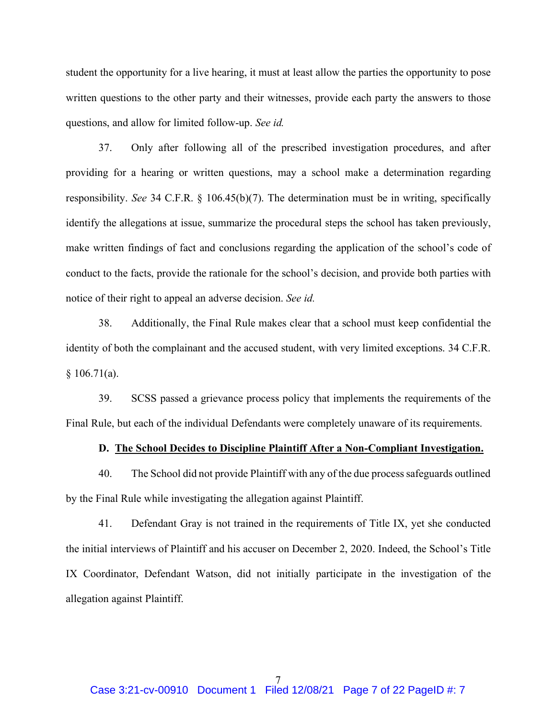student the opportunity for a live hearing, it must at least allow the parties the opportunity to pose written questions to the other party and their witnesses, provide each party the answers to those questions, and allow for limited follow-up. *See id.*

37. Only after following all of the prescribed investigation procedures, and after providing for a hearing or written questions, may a school make a determination regarding responsibility. *See* 34 C.F.R. § 106.45(b)(7). The determination must be in writing, specifically identify the allegations at issue, summarize the procedural steps the school has taken previously, make written findings of fact and conclusions regarding the application of the school's code of conduct to the facts, provide the rationale for the school's decision, and provide both parties with notice of their right to appeal an adverse decision. *See id.*

38. Additionally, the Final Rule makes clear that a school must keep confidential the identity of both the complainant and the accused student, with very limited exceptions. 34 C.F.R.  $§ 106.71(a).$ 

39. SCSS passed a grievance process policy that implements the requirements of the Final Rule, but each of the individual Defendants were completely unaware of its requirements.

#### **D. The School Decides to Discipline Plaintiff After a Non-Compliant Investigation.**

40. The School did not provide Plaintiff with any of the due process safeguards outlined by the Final Rule while investigating the allegation against Plaintiff.

41. Defendant Gray is not trained in the requirements of Title IX, yet she conducted the initial interviews of Plaintiff and his accuser on December 2, 2020. Indeed, the School's Title IX Coordinator, Defendant Watson, did not initially participate in the investigation of the allegation against Plaintiff.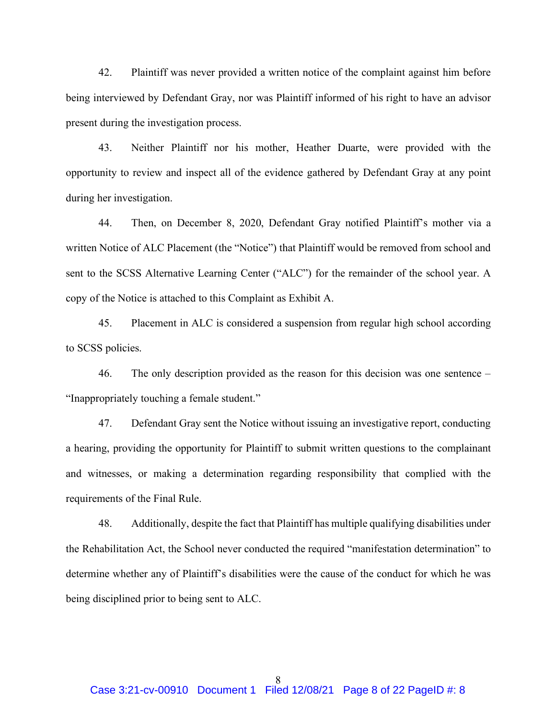42. Plaintiff was never provided a written notice of the complaint against him before being interviewed by Defendant Gray, nor was Plaintiff informed of his right to have an advisor present during the investigation process.

43. Neither Plaintiff nor his mother, Heather Duarte, were provided with the opportunity to review and inspect all of the evidence gathered by Defendant Gray at any point during her investigation.

44. Then, on December 8, 2020, Defendant Gray notified Plaintiff's mother via a written Notice of ALC Placement (the "Notice") that Plaintiff would be removed from school and sent to the SCSS Alternative Learning Center ("ALC") for the remainder of the school year. A copy of the Notice is attached to this Complaint as Exhibit A.

45. Placement in ALC is considered a suspension from regular high school according to SCSS policies.

46. The only description provided as the reason for this decision was one sentence – "Inappropriately touching a female student."

47. Defendant Gray sent the Notice without issuing an investigative report, conducting a hearing, providing the opportunity for Plaintiff to submit written questions to the complainant and witnesses, or making a determination regarding responsibility that complied with the requirements of the Final Rule.

48. Additionally, despite the fact that Plaintiff has multiple qualifying disabilities under the Rehabilitation Act, the School never conducted the required "manifestation determination" to determine whether any of Plaintiff's disabilities were the cause of the conduct for which he was being disciplined prior to being sent to ALC.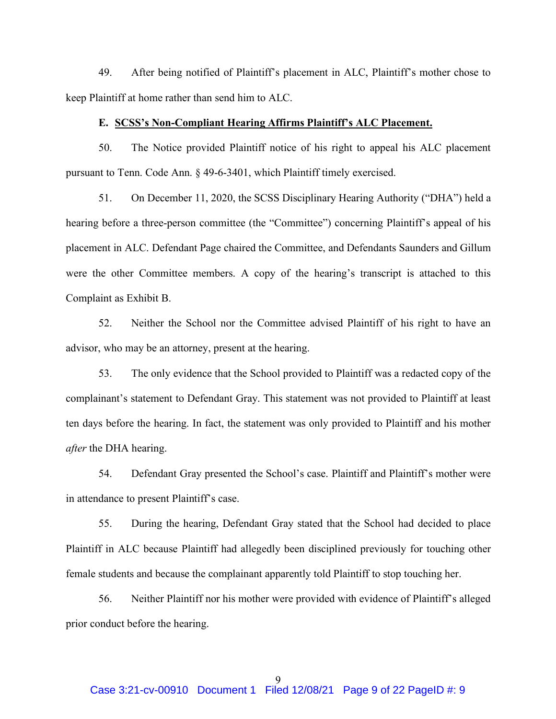49. After being notified of Plaintiff's placement in ALC, Plaintiff's mother chose to keep Plaintiff at home rather than send him to ALC.

### **E. SCSS's Non-Compliant Hearing Affirms Plaintiff's ALC Placement.**

50. The Notice provided Plaintiff notice of his right to appeal his ALC placement pursuant to Tenn. Code Ann. § 49-6-3401, which Plaintiff timely exercised.

51. On December 11, 2020, the SCSS Disciplinary Hearing Authority ("DHA") held a hearing before a three-person committee (the "Committee") concerning Plaintiff's appeal of his placement in ALC. Defendant Page chaired the Committee, and Defendants Saunders and Gillum were the other Committee members. A copy of the hearing's transcript is attached to this Complaint as Exhibit B.

52. Neither the School nor the Committee advised Plaintiff of his right to have an advisor, who may be an attorney, present at the hearing.

53. The only evidence that the School provided to Plaintiff was a redacted copy of the complainant's statement to Defendant Gray. This statement was not provided to Plaintiff at least ten days before the hearing. In fact, the statement was only provided to Plaintiff and his mother *after* the DHA hearing.

54. Defendant Gray presented the School's case. Plaintiff and Plaintiff's mother were in attendance to present Plaintiff's case.

55. During the hearing, Defendant Gray stated that the School had decided to place Plaintiff in ALC because Plaintiff had allegedly been disciplined previously for touching other female students and because the complainant apparently told Plaintiff to stop touching her.

56. Neither Plaintiff nor his mother were provided with evidence of Plaintiff's alleged prior conduct before the hearing.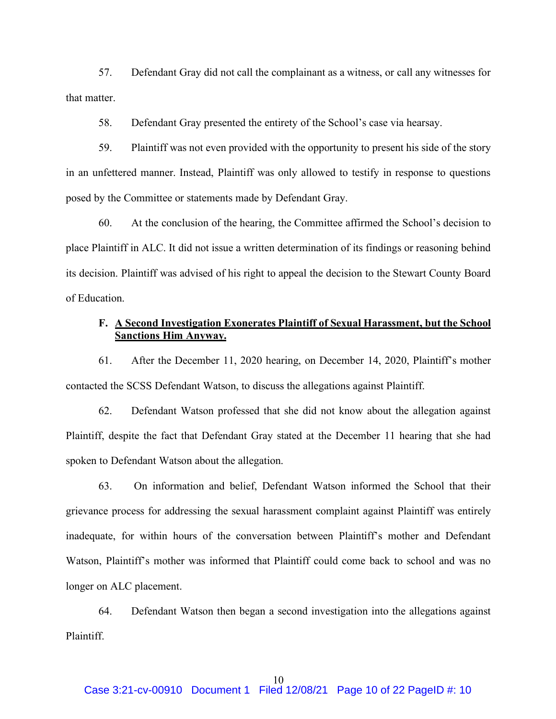57. Defendant Gray did not call the complainant as a witness, or call any witnesses for that matter.

58. Defendant Gray presented the entirety of the School's case via hearsay.

59. Plaintiff was not even provided with the opportunity to present his side of the story in an unfettered manner. Instead, Plaintiff was only allowed to testify in response to questions posed by the Committee or statements made by Defendant Gray.

60. At the conclusion of the hearing, the Committee affirmed the School's decision to place Plaintiff in ALC. It did not issue a written determination of its findings or reasoning behind its decision. Plaintiff was advised of his right to appeal the decision to the Stewart County Board of Education.

### **F. A Second Investigation Exonerates Plaintiff of Sexual Harassment, but the School Sanctions Him Anyway.**

61. After the December 11, 2020 hearing, on December 14, 2020, Plaintiff's mother contacted the SCSS Defendant Watson, to discuss the allegations against Plaintiff.

62. Defendant Watson professed that she did not know about the allegation against Plaintiff, despite the fact that Defendant Gray stated at the December 11 hearing that she had spoken to Defendant Watson about the allegation.

63. On information and belief, Defendant Watson informed the School that their grievance process for addressing the sexual harassment complaint against Plaintiff was entirely inadequate, for within hours of the conversation between Plaintiff's mother and Defendant Watson, Plaintiff's mother was informed that Plaintiff could come back to school and was no longer on ALC placement.

64. Defendant Watson then began a second investigation into the allegations against Plaintiff.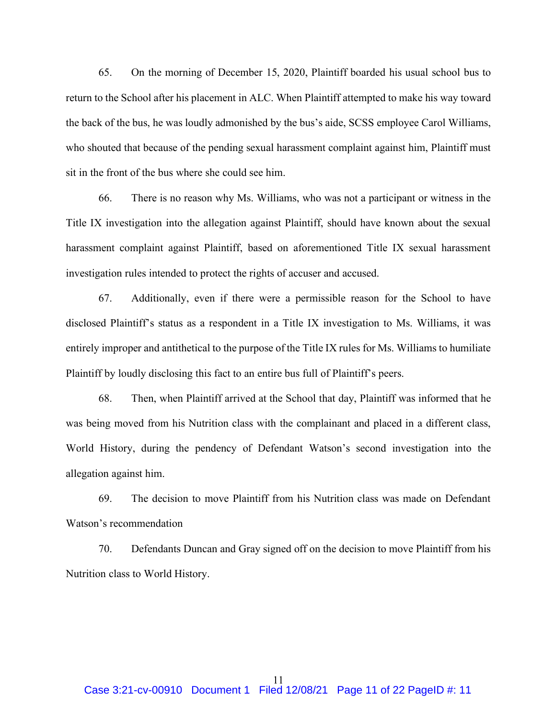65. On the morning of December 15, 2020, Plaintiff boarded his usual school bus to return to the School after his placement in ALC. When Plaintiff attempted to make his way toward the back of the bus, he was loudly admonished by the bus's aide, SCSS employee Carol Williams, who shouted that because of the pending sexual harassment complaint against him, Plaintiff must sit in the front of the bus where she could see him.

66. There is no reason why Ms. Williams, who was not a participant or witness in the Title IX investigation into the allegation against Plaintiff, should have known about the sexual harassment complaint against Plaintiff, based on aforementioned Title IX sexual harassment investigation rules intended to protect the rights of accuser and accused.

67. Additionally, even if there were a permissible reason for the School to have disclosed Plaintiff's status as a respondent in a Title IX investigation to Ms. Williams, it was entirely improper and antithetical to the purpose of the Title IX rules for Ms. Williams to humiliate Plaintiff by loudly disclosing this fact to an entire bus full of Plaintiff's peers.

68. Then, when Plaintiff arrived at the School that day, Plaintiff was informed that he was being moved from his Nutrition class with the complainant and placed in a different class, World History, during the pendency of Defendant Watson's second investigation into the allegation against him.

69. The decision to move Plaintiff from his Nutrition class was made on Defendant Watson's recommendation

70. Defendants Duncan and Gray signed off on the decision to move Plaintiff from his Nutrition class to World History.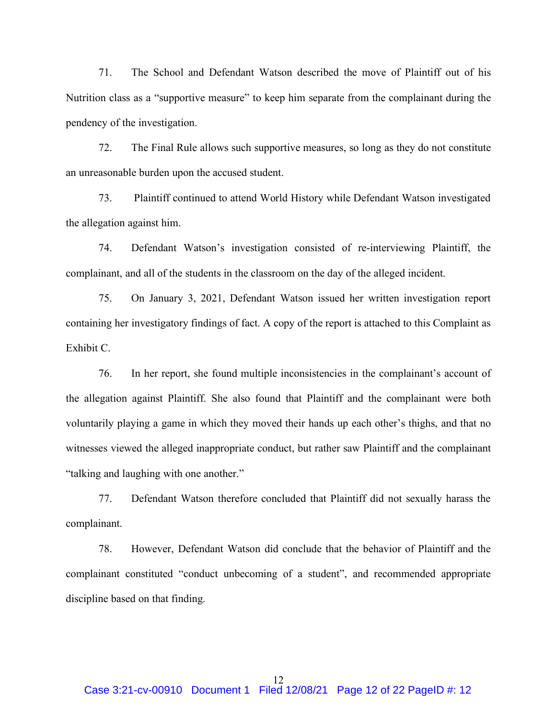71. The School and Defendant Watson described the move of Plaintiff out of his Nutrition class as a "supportive measure" to keep him separate from the complainant during the pendency of the investigation.

72. The Final Rule allows such supportive measures, so long as they do not constitute an unreasonable burden upon the accused student.

73. Plaintiff continued to attend World History while Defendant Watson investigated the allegation against him.

74. Defendant Watson's investigation consisted of re-interviewing Plaintiff, the complainant, and all of the students in the classroom on the day of the alleged incident.

75. On January 3, 2021, Defendant Watson issued her written investigation report containing her investigatory findings of fact. A copy of the report is attached to this Complaint as Exhibit C.

76. In her report, she found multiple inconsistencies in the complainant's account of the allegation against Plaintiff. She also found that Plaintiff and the complainant were both voluntarily playing a game in which they moved their hands up each other's thighs, and that no witnesses viewed the alleged inappropriate conduct, but rather saw Plaintiff and the complainant "talking and laughing with one another."

77. Defendant Watson therefore concluded that Plaintiff did not sexually harass the complainant.

78. However, Defendant Watson did conclude that the behavior of Plaintiff and the complainant constituted "conduct unbecoming of a student", and recommended appropriate discipline based on that finding.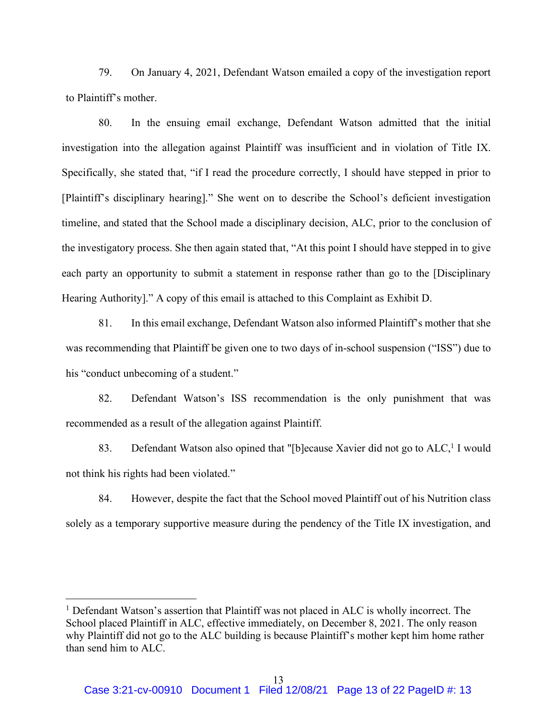79. On January 4, 2021, Defendant Watson emailed a copy of the investigation report to Plaintiff's mother.

80. In the ensuing email exchange, Defendant Watson admitted that the initial investigation into the allegation against Plaintiff was insufficient and in violation of Title IX. Specifically, she stated that, "if I read the procedure correctly, I should have stepped in prior to [Plaintiff's disciplinary hearing]." She went on to describe the School's deficient investigation timeline, and stated that the School made a disciplinary decision, ALC, prior to the conclusion of the investigatory process. She then again stated that, "At this point I should have stepped in to give each party an opportunity to submit a statement in response rather than go to the [Disciplinary Hearing Authority]." A copy of this email is attached to this Complaint as Exhibit D.

81. In this email exchange, Defendant Watson also informed Plaintiff's mother that she was recommending that Plaintiff be given one to two days of in-school suspension ("ISS") due to his "conduct unbecoming of a student."

82. Defendant Watson's ISS recommendation is the only punishment that was recommended as a result of the allegation against Plaintiff.

83. Defendant Watson also opined that "[b]ecause Xavier did not go to  $ALC<sub>i</sub>$  I would not think his rights had been violated."

84. However, despite the fact that the School moved Plaintiff out of his Nutrition class solely as a temporary supportive measure during the pendency of the Title IX investigation, and

<sup>&</sup>lt;sup>1</sup> Defendant Watson's assertion that Plaintiff was not placed in ALC is wholly incorrect. The School placed Plaintiff in ALC, effective immediately, on December 8, 2021. The only reason why Plaintiff did not go to the ALC building is because Plaintiff's mother kept him home rather than send him to ALC.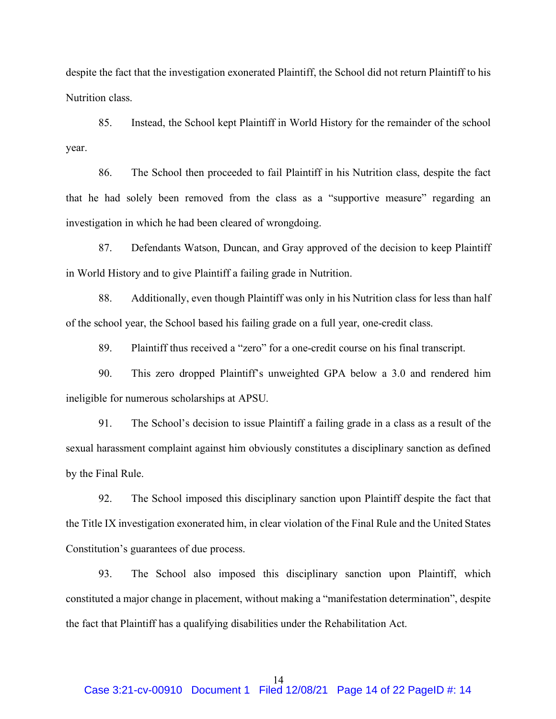despite the fact that the investigation exonerated Plaintiff, the School did not return Plaintiff to his Nutrition class.

85. Instead, the School kept Plaintiff in World History for the remainder of the school year.

86. The School then proceeded to fail Plaintiff in his Nutrition class, despite the fact that he had solely been removed from the class as a "supportive measure" regarding an investigation in which he had been cleared of wrongdoing.

87. Defendants Watson, Duncan, and Gray approved of the decision to keep Plaintiff in World History and to give Plaintiff a failing grade in Nutrition.

88. Additionally, even though Plaintiff was only in his Nutrition class for less than half of the school year, the School based his failing grade on a full year, one-credit class.

89. Plaintiff thus received a "zero" for a one-credit course on his final transcript.

90. This zero dropped Plaintiff's unweighted GPA below a 3.0 and rendered him ineligible for numerous scholarships at APSU.

91. The School's decision to issue Plaintiff a failing grade in a class as a result of the sexual harassment complaint against him obviously constitutes a disciplinary sanction as defined by the Final Rule.

92. The School imposed this disciplinary sanction upon Plaintiff despite the fact that the Title IX investigation exonerated him, in clear violation of the Final Rule and the United States Constitution's guarantees of due process.

93. The School also imposed this disciplinary sanction upon Plaintiff, which constituted a major change in placement, without making a "manifestation determination", despite the fact that Plaintiff has a qualifying disabilities under the Rehabilitation Act.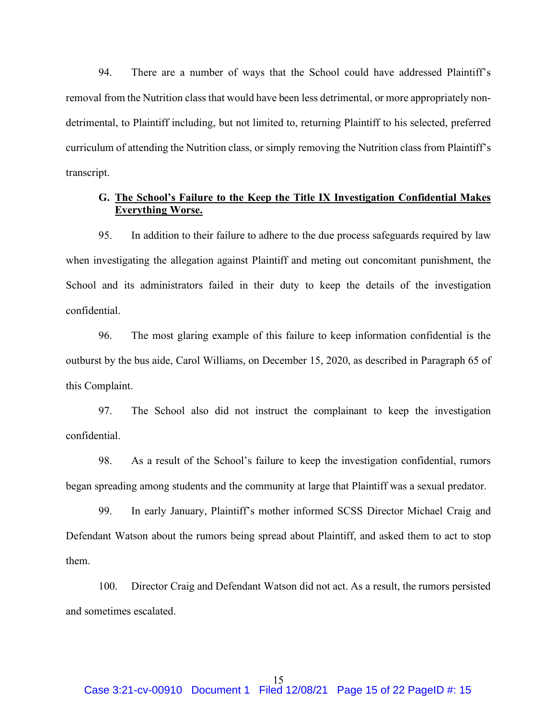94. There are a number of ways that the School could have addressed Plaintiff's removal from the Nutrition class that would have been less detrimental, or more appropriately nondetrimental, to Plaintiff including, but not limited to, returning Plaintiff to his selected, preferred curriculum of attending the Nutrition class, or simply removing the Nutrition class from Plaintiff's transcript.

### **G. The School's Failure to the Keep the Title IX Investigation Confidential Makes Everything Worse.**

95. In addition to their failure to adhere to the due process safeguards required by law when investigating the allegation against Plaintiff and meting out concomitant punishment, the School and its administrators failed in their duty to keep the details of the investigation confidential.

96. The most glaring example of this failure to keep information confidential is the outburst by the bus aide, Carol Williams, on December 15, 2020, as described in Paragraph 65 of this Complaint.

97. The School also did not instruct the complainant to keep the investigation confidential.

98. As a result of the School's failure to keep the investigation confidential, rumors began spreading among students and the community at large that Plaintiff was a sexual predator.

99. In early January, Plaintiff's mother informed SCSS Director Michael Craig and Defendant Watson about the rumors being spread about Plaintiff, and asked them to act to stop them.

100. Director Craig and Defendant Watson did not act. As a result, the rumors persisted and sometimes escalated.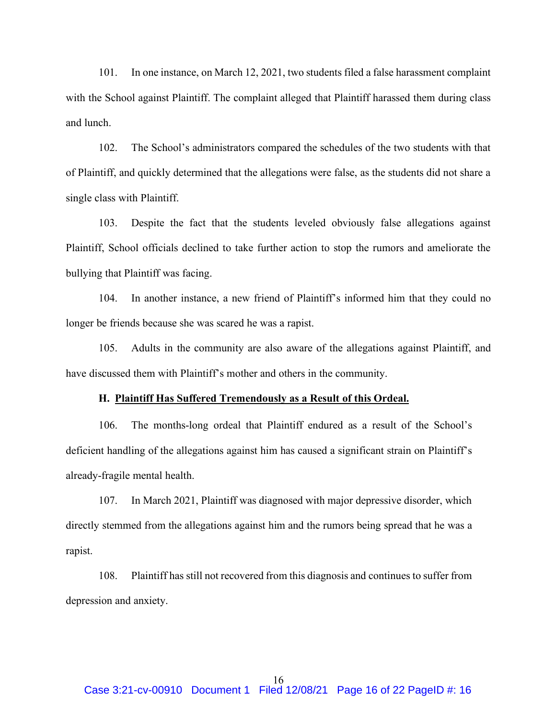101. In one instance, on March 12, 2021, two students filed a false harassment complaint with the School against Plaintiff. The complaint alleged that Plaintiff harassed them during class and lunch.

102. The School's administrators compared the schedules of the two students with that of Plaintiff, and quickly determined that the allegations were false, as the students did not share a single class with Plaintiff.

103. Despite the fact that the students leveled obviously false allegations against Plaintiff, School officials declined to take further action to stop the rumors and ameliorate the bullying that Plaintiff was facing.

104. In another instance, a new friend of Plaintiff's informed him that they could no longer be friends because she was scared he was a rapist.

105. Adults in the community are also aware of the allegations against Plaintiff, and have discussed them with Plaintiff's mother and others in the community.

#### **H. Plaintiff Has Suffered Tremendously as a Result of this Ordeal.**

106. The months-long ordeal that Plaintiff endured as a result of the School's deficient handling of the allegations against him has caused a significant strain on Plaintiff's already-fragile mental health.

107. In March 2021, Plaintiff was diagnosed with major depressive disorder, which directly stemmed from the allegations against him and the rumors being spread that he was a rapist.

108. Plaintiff has still not recovered from this diagnosis and continues to suffer from depression and anxiety.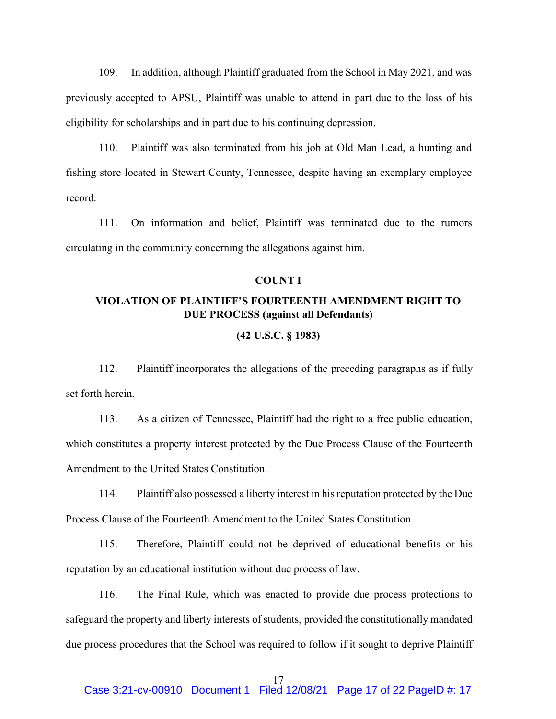109. In addition, although Plaintiff graduated from the School in May 2021, and was previously accepted to APSU, Plaintiff was unable to attend in part due to the loss of his eligibility for scholarships and in part due to his continuing depression.

110. Plaintiff was also terminated from his job at Old Man Lead, a hunting and fishing store located in Stewart County, Tennessee, despite having an exemplary employee record.

111. On information and belief, Plaintiff was terminated due to the rumors circulating in the community concerning the allegations against him.

### **COUNT I**

### **VIOLATION OF PLAINTIFF'S FOURTEENTH AMENDMENT RIGHT TO DUE PROCESS (against all Defendants)**

### **(42 U.S.C. § 1983)**

112. Plaintiff incorporates the allegations of the preceding paragraphs as if fully set forth herein

113. As a citizen of Tennessee, Plaintiff had the right to a free public education, which constitutes a property interest protected by the Due Process Clause of the Fourteenth Amendment to the United States Constitution.

114. Plaintiff also possessed a liberty interest in his reputation protected by the Due Process Clause of the Fourteenth Amendment to the United States Constitution.

115. Therefore, Plaintiff could not be deprived of educational benefits or his reputation by an educational institution without due process of law.

116. The Final Rule, which was enacted to provide due process protections to safeguard the property and liberty interests of students, provided the constitutionally mandated due process procedures that the School was required to follow if it sought to deprive Plaintiff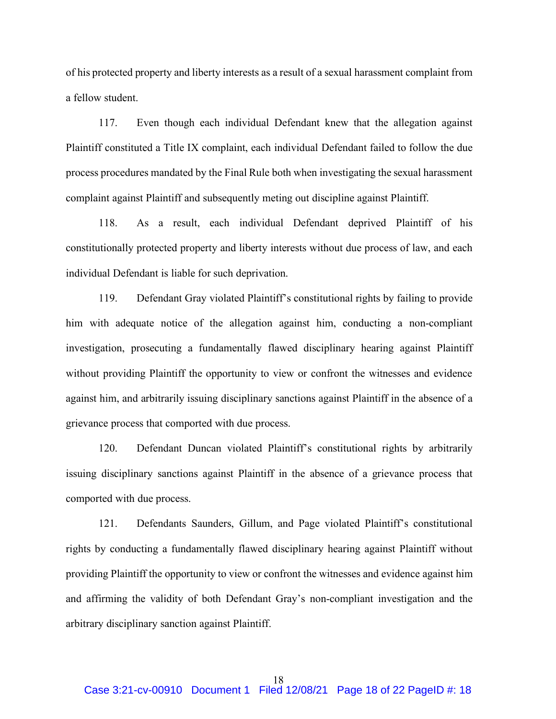of his protected property and liberty interests as a result of a sexual harassment complaint from a fellow student.

117. Even though each individual Defendant knew that the allegation against Plaintiff constituted a Title IX complaint, each individual Defendant failed to follow the due process procedures mandated by the Final Rule both when investigating the sexual harassment complaint against Plaintiff and subsequently meting out discipline against Plaintiff.

118. As a result, each individual Defendant deprived Plaintiff of his constitutionally protected property and liberty interests without due process of law, and each individual Defendant is liable for such deprivation.

119. Defendant Gray violated Plaintiff's constitutional rights by failing to provide him with adequate notice of the allegation against him, conducting a non-compliant investigation, prosecuting a fundamentally flawed disciplinary hearing against Plaintiff without providing Plaintiff the opportunity to view or confront the witnesses and evidence against him, and arbitrarily issuing disciplinary sanctions against Plaintiff in the absence of a grievance process that comported with due process.

120. Defendant Duncan violated Plaintiff's constitutional rights by arbitrarily issuing disciplinary sanctions against Plaintiff in the absence of a grievance process that comported with due process.

121. Defendants Saunders, Gillum, and Page violated Plaintiff's constitutional rights by conducting a fundamentally flawed disciplinary hearing against Plaintiff without providing Plaintiff the opportunity to view or confront the witnesses and evidence against him and affirming the validity of both Defendant Gray's non-compliant investigation and the arbitrary disciplinary sanction against Plaintiff.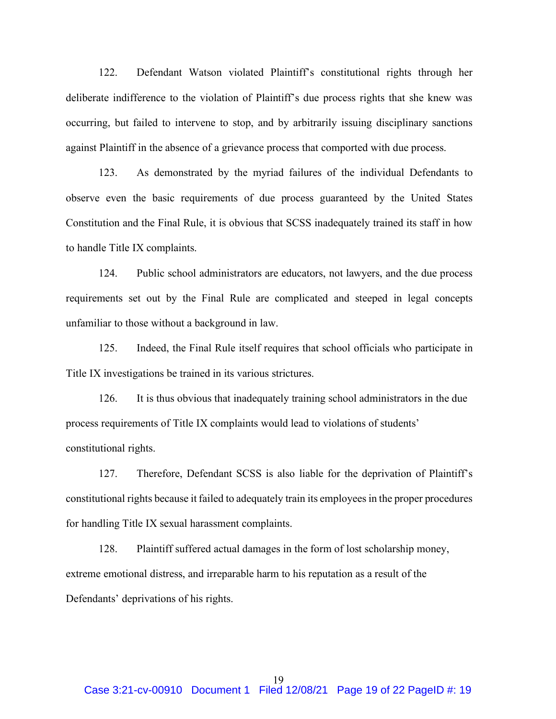122. Defendant Watson violated Plaintiff's constitutional rights through her deliberate indifference to the violation of Plaintiff's due process rights that she knew was occurring, but failed to intervene to stop, and by arbitrarily issuing disciplinary sanctions against Plaintiff in the absence of a grievance process that comported with due process.

123. As demonstrated by the myriad failures of the individual Defendants to observe even the basic requirements of due process guaranteed by the United States Constitution and the Final Rule, it is obvious that SCSS inadequately trained its staff in how to handle Title IX complaints.

124. Public school administrators are educators, not lawyers, and the due process requirements set out by the Final Rule are complicated and steeped in legal concepts unfamiliar to those without a background in law.

125. Indeed, the Final Rule itself requires that school officials who participate in Title IX investigations be trained in its various strictures.

126. It is thus obvious that inadequately training school administrators in the due process requirements of Title IX complaints would lead to violations of students' constitutional rights.

127. Therefore, Defendant SCSS is also liable for the deprivation of Plaintiff's constitutional rights because it failed to adequately train its employees in the proper procedures for handling Title IX sexual harassment complaints.

128. Plaintiff suffered actual damages in the form of lost scholarship money, extreme emotional distress, and irreparable harm to his reputation as a result of the Defendants' deprivations of his rights.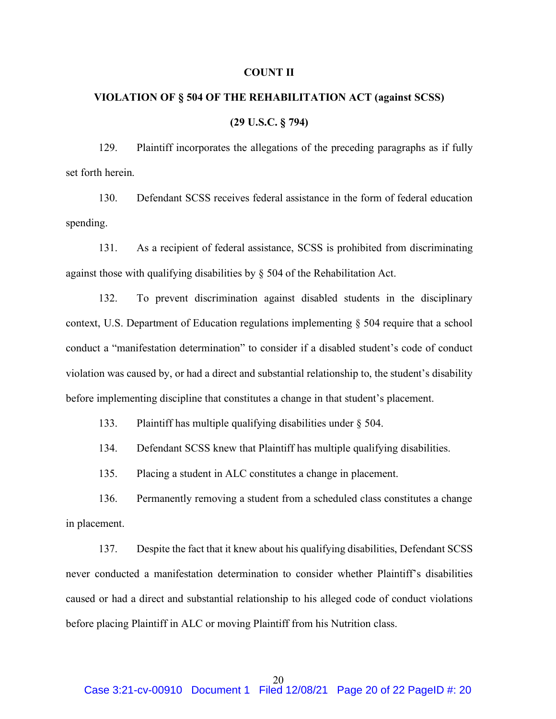### **COUNT II**

# **VIOLATION OF § 504 OF THE REHABILITATION ACT (against SCSS) (29 U.S.C. § 794)**

129. Plaintiff incorporates the allegations of the preceding paragraphs as if fully set forth herein.

130. Defendant SCSS receives federal assistance in the form of federal education spending.

131. As a recipient of federal assistance, SCSS is prohibited from discriminating against those with qualifying disabilities by § 504 of the Rehabilitation Act.

132. To prevent discrimination against disabled students in the disciplinary context, U.S. Department of Education regulations implementing § 504 require that a school conduct a "manifestation determination" to consider if a disabled student's code of conduct violation was caused by, or had a direct and substantial relationship to, the student's disability before implementing discipline that constitutes a change in that student's placement.

133. Plaintiff has multiple qualifying disabilities under § 504.

134. Defendant SCSS knew that Plaintiff has multiple qualifying disabilities.

135. Placing a student in ALC constitutes a change in placement.

136. Permanently removing a student from a scheduled class constitutes a change in placement.

137. Despite the fact that it knew about his qualifying disabilities, Defendant SCSS never conducted a manifestation determination to consider whether Plaintiff's disabilities caused or had a direct and substantial relationship to his alleged code of conduct violations before placing Plaintiff in ALC or moving Plaintiff from his Nutrition class.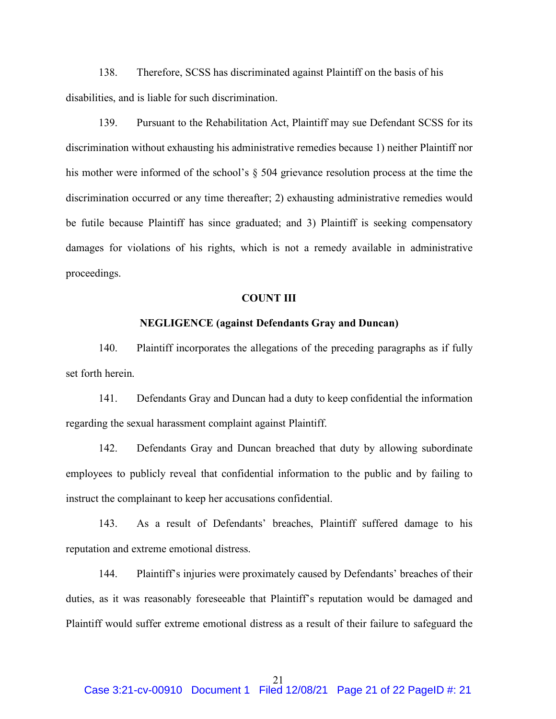138. Therefore, SCSS has discriminated against Plaintiff on the basis of his disabilities, and is liable for such discrimination.

139. Pursuant to the Rehabilitation Act, Plaintiff may sue Defendant SCSS for its discrimination without exhausting his administrative remedies because 1) neither Plaintiff nor his mother were informed of the school's § 504 grievance resolution process at the time the discrimination occurred or any time thereafter; 2) exhausting administrative remedies would be futile because Plaintiff has since graduated; and 3) Plaintiff is seeking compensatory damages for violations of his rights, which is not a remedy available in administrative proceedings.

### **COUNT III**

### **NEGLIGENCE (against Defendants Gray and Duncan)**

140. Plaintiff incorporates the allegations of the preceding paragraphs as if fully set forth herein

141. Defendants Gray and Duncan had a duty to keep confidential the information regarding the sexual harassment complaint against Plaintiff.

142. Defendants Gray and Duncan breached that duty by allowing subordinate employees to publicly reveal that confidential information to the public and by failing to instruct the complainant to keep her accusations confidential.

143. As a result of Defendants' breaches, Plaintiff suffered damage to his reputation and extreme emotional distress.

144. Plaintiff's injuries were proximately caused by Defendants' breaches of their duties, as it was reasonably foreseeable that Plaintiff's reputation would be damaged and Plaintiff would suffer extreme emotional distress as a result of their failure to safeguard the